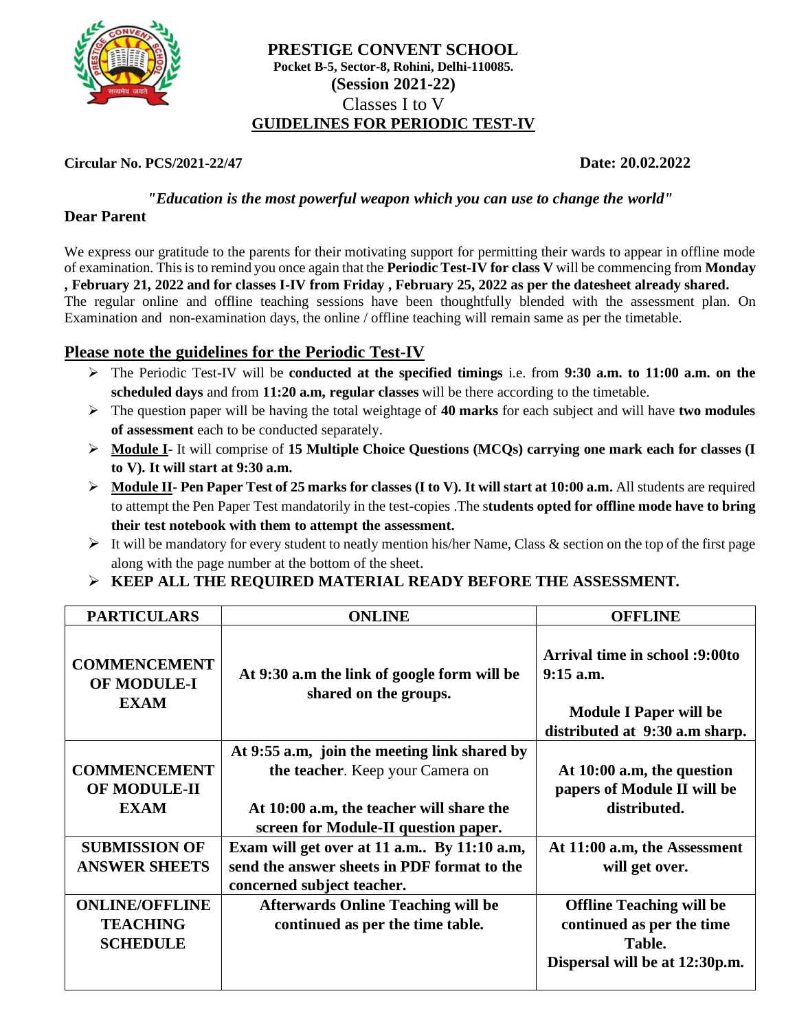

# **PRESTIGE CONVENT SCHOOL Pocket B-5, Sector-8, Rohini, Delhi-110085. (Session 2021-22)** Classes I to V **GUIDELINES FOR PERIODIC TEST-IV**

## **Circular No. PCS/2021-22/47 Date: 20.02.2022**

*"Education is the most powerful weapon which you can use to change the world"*

## **Dear Parent**

We express our gratitude to the parents for their motivating support for permitting their wards to appear in offline mode of examination. This is to remind you once again that the **Periodic Test-IV for class V** will be commencing from **Monday , February 21, 2022 and for classes I-IV from Friday , February 25, 2022 as per the datesheet already shared.**  The regular online and offline teaching sessions have been thoughtfully blended with the assessment plan. On Examination and non-examination days, the online / offline teaching will remain same as per the timetable.

# **Please note the guidelines for the Periodic Test-IV**

- ➢ The Periodic Test-IV will be **conducted at the specified timings** i.e. from **9:30 a.m. to 11:00 a.m. on the scheduled days** and from **11:20 a.m, regular classes** will be there according to the timetable.
- ➢ The question paper will be having the total weightage of **40 marks** for each subject and will have **two modules of assessment** each to be conducted separately.
- ➢ **Module I** It will comprise of **15 Multiple Choice Questions (MCQs) carrying one mark each for classes (I to V). It will start at 9:30 a.m.**
- ➢ **Module II Pen Paper Test of 25 marks for classes (I to V). It will start at 10:00 a.m.** All students are required to attempt the Pen Paper Test mandatorily in the test-copies .The s**tudents opted for offline mode have to bring their test notebook with them to attempt the assessment.**
- $\triangleright$  It will be mandatory for every student to neatly mention his/her Name, Class & section on the top of the first page along with the page number at the bottom of the sheet.
- ➢ **KEEP ALL THE REQUIRED MATERIAL READY BEFORE THE ASSESSMENT.**

| <b>PARTICULARS</b>                                       | <b>ONLINE</b>                                                        | <b>OFFLINE</b>                                                                                                   |
|----------------------------------------------------------|----------------------------------------------------------------------|------------------------------------------------------------------------------------------------------------------|
| <b>COMMENCEMENT</b><br><b>OF MODULE-I</b><br><b>EXAM</b> | At 9:30 a.m the link of google form will be<br>shared on the groups. | Arrival time in school :9:00to<br>$9:15$ a.m.<br><b>Module I Paper will be</b><br>distributed at 9:30 a.m sharp. |
|                                                          | At 9:55 a.m, join the meeting link shared by                         |                                                                                                                  |
| <b>COMMENCEMENT</b>                                      | the teacher. Keep your Camera on                                     | At 10:00 a.m, the question                                                                                       |
| OF MODULE-II                                             |                                                                      | papers of Module II will be                                                                                      |
| <b>EXAM</b>                                              | At 10:00 a.m, the teacher will share the                             | distributed.                                                                                                     |
|                                                          | screen for Module-II question paper.                                 |                                                                                                                  |
| <b>SUBMISSION OF</b>                                     | Exam will get over at 11 a.m By 11:10 a.m.                           | At 11:00 a.m, the Assessment                                                                                     |
| <b>ANSWER SHEETS</b>                                     | send the answer sheets in PDF format to the                          | will get over.                                                                                                   |
|                                                          | concerned subject teacher.                                           |                                                                                                                  |
| <b>ONLINE/OFFLINE</b>                                    | <b>Afterwards Online Teaching will be</b>                            | <b>Offline Teaching will be</b>                                                                                  |
| <b>TEACHING</b>                                          | continued as per the time table.                                     | continued as per the time                                                                                        |
| <b>SCHEDULE</b>                                          |                                                                      | Table.                                                                                                           |
|                                                          |                                                                      | Dispersal will be at 12:30p.m.                                                                                   |
|                                                          |                                                                      |                                                                                                                  |